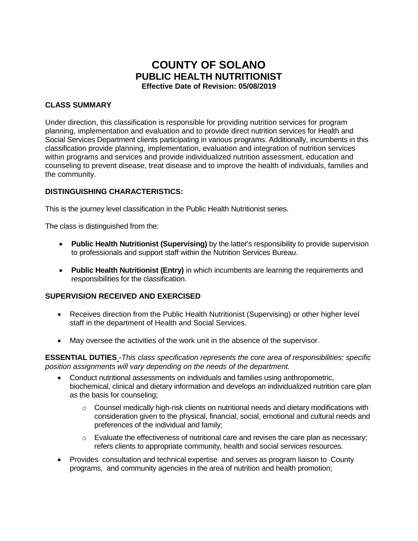# **COUNTY OF SOLANO PUBLIC HEALTH NUTRITIONIST Effective Date of Revision: 05/08/2019**

# **CLASS SUMMARY**

Under direction, this classification is responsible for providing nutrition services for program planning, implementation and evaluation and to provide direct nutrition services for Health and Social Services Department clients participating in various programs. Additionally, incumbents in this classification provide planning, implementation, evaluation and integration of nutrition services within programs and services and provide individualized nutrition assessment, education and counseling to prevent disease, treat disease and to improve the health of individuals, families and the community.

# **DISTINGUISHING CHARACTERISTICS:**

This is the journey level classification in the Public Health Nutritionist series.

The class is distinguished from the:

- **Public Health Nutritionist (Supervising)** by the latter's responsibility to provide supervision to professionals and support staff within the Nutrition Services Bureau.
- **Public Health Nutritionist (Entry)** in which incumbents are learning the requirements and responsibilities for the classification.

#### **SUPERVISION RECEIVED AND EXERCISED**

- Receives direction from the Public Health Nutritionist (Supervising) or other higher level staff in the department of Health and Social Services.
- May oversee the activities of the work unit in the absence of the supervisor.

**ESSENTIAL DUTIES** -*This class specification represents the core area of responsibilities; specific position assignments will vary depending on the needs of the department.*

- Conduct nutritional assessments on individuals and families using anthropometric, biochemical, clinical and dietary information and develops an individualized nutrition care plan as the basis for counseling;
	- $\circ$  Counsel medically high-risk clients on nutritional needs and dietary modifications with consideration given to the physical, financial, social, emotional and cultural needs and preferences of the individual and family;
	- $\circ$  Evaluate the effectiveness of nutritional care and revises the care plan as necessary; refers clients to appropriate community, health and social services resources.
- Provides consultation and technical expertise and serves as program liaison to County programs, and community agencies in the area of nutrition and health promotion;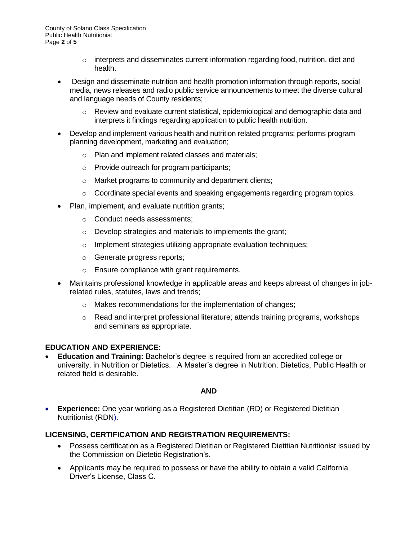County of Solano Class Specification Public Health Nutritionist Page **2** of **5**

- $\circ$  interprets and disseminates current information regarding food, nutrition, diet and health.
- Design and disseminate nutrition and health promotion information through reports, social media, news releases and radio public service announcements to meet the diverse cultural and language needs of County residents;
	- $\circ$  Review and evaluate current statistical, epidemiological and demographic data and interprets it findings regarding application to public health nutrition.
- Develop and implement various health and nutrition related programs; performs program planning development, marketing and evaluation;
	- o Plan and implement related classes and materials;
	- o Provide outreach for program participants;
	- o Market programs to community and department clients;
	- $\circ$  Coordinate special events and speaking engagements regarding program topics.
- Plan, implement, and evaluate nutrition grants;
	- o Conduct needs assessments;
	- o Develop strategies and materials to implements the grant;
	- o Implement strategies utilizing appropriate evaluation techniques;
	- o Generate progress reports;
	- o Ensure compliance with grant requirements.
- Maintains professional knowledge in applicable areas and keeps abreast of changes in jobrelated rules, statutes, laws and trends;
	- o Makes recommendations for the implementation of changes;
	- $\circ$  Read and interpret professional literature; attends training programs, workshops and seminars as appropriate.

# **EDUCATION AND EXPERIENCE:**

• **Education and Training:** Bachelor's degree is required from an accredited college or university, in Nutrition or Dietetics. A Master's degree in Nutrition, Dietetics, Public Health or related field is desirable.

#### **AND**

**Experience:** One year working as a Registered Dietitian (RD) or Registered Dietitian Nutritionist (RDN).

# **LICENSING, CERTIFICATION AND REGISTRATION REQUIREMENTS:**

- Possess certification as a Registered Dietitian or Registered Dietitian Nutritionist issued by the Commission on Dietetic Registration's.
- Applicants may be required to possess or have the ability to obtain a valid California Driver's License, Class C.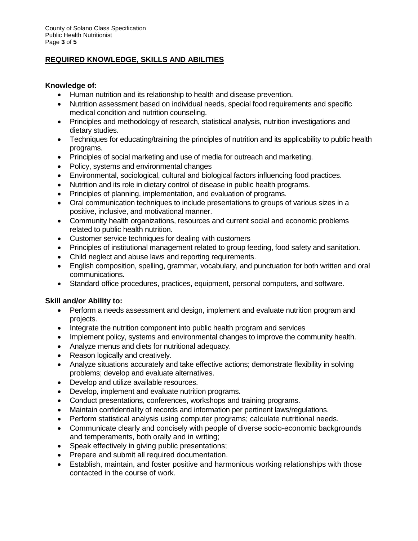# **REQUIRED KNOWLEDGE, SKILLS AND ABILITIES**

#### **Knowledge of:**

- Human nutrition and its relationship to health and disease prevention.
- Nutrition assessment based on individual needs, special food requirements and specific medical condition and nutrition counseling.
- Principles and methodology of research, statistical analysis, nutrition investigations and dietary studies.
- Techniques for educating/training the principles of nutrition and its applicability to public health programs.
- Principles of social marketing and use of media for outreach and marketing.
- Policy, systems and environmental changes
- Environmental, sociological, cultural and biological factors influencing food practices.
- Nutrition and its role in dietary control of disease in public health programs.
- Principles of planning, implementation, and evaluation of programs.
- Oral communication techniques to include presentations to groups of various sizes in a positive, inclusive, and motivational manner.
- Community health organizations, resources and current social and economic problems related to public health nutrition.
- Customer service techniques for dealing with customers
- Principles of institutional management related to group feeding, food safety and sanitation.
- Child neglect and abuse laws and reporting requirements.
- English composition, spelling, grammar, vocabulary, and punctuation for both written and oral communications.
- Standard office procedures, practices, equipment, personal computers, and software.

# **Skill and/or Ability to:**

- Perform a needs assessment and design, implement and evaluate nutrition program and projects.
- Integrate the nutrition component into public health program and services
- Implement policy, systems and environmental changes to improve the community health.
- Analyze menus and diets for nutritional adequacy.
- Reason logically and creatively.
- Analyze situations accurately and take effective actions; demonstrate flexibility in solving problems; develop and evaluate alternatives.
- Develop and utilize available resources.
- Develop, implement and evaluate nutrition programs.
- Conduct presentations, conferences, workshops and training programs.
- Maintain confidentiality of records and information per pertinent laws/regulations.
- Perform statistical analysis using computer programs; calculate nutritional needs.
- Communicate clearly and concisely with people of diverse socio-economic backgrounds and temperaments, both orally and in writing;
- Speak effectively in giving public presentations;
- Prepare and submit all required documentation.
- Establish, maintain, and foster positive and harmonious working relationships with those contacted in the course of work.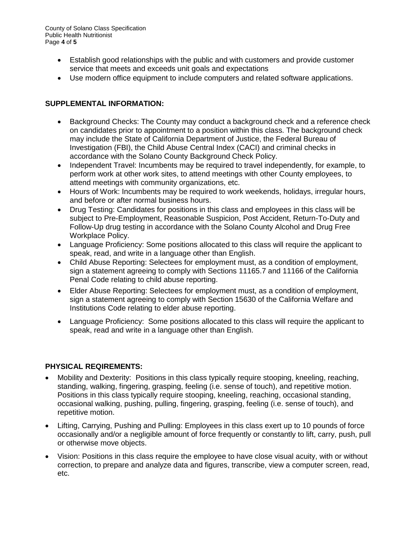County of Solano Class Specification Public Health Nutritionist Page **4** of **5**

- Establish good relationships with the public and with customers and provide customer service that meets and exceeds unit goals and expectations
- Use modern office equipment to include computers and related software applications.

# **SUPPLEMENTAL INFORMATION:**

- Background Checks: The County may conduct a background check and a reference check on candidates prior to appointment to a position within this class. The background check may include the State of California Department of Justice, the Federal Bureau of Investigation (FBI), the Child Abuse Central Index (CACI) and criminal checks in accordance with the Solano County Background Check Policy.
- Independent Travel: Incumbents may be required to travel independently, for example, to perform work at other work sites, to attend meetings with other County employees, to attend meetings with community organizations, etc.
- Hours of Work: Incumbents may be required to work weekends, holidays, irregular hours, and before or after normal business hours.
- Drug Testing: Candidates for positions in this class and employees in this class will be subject to Pre-Employment, Reasonable Suspicion, Post Accident, Return-To-Duty and Follow-Up drug testing in accordance with the Solano County Alcohol and Drug Free Workplace Policy.
- Language Proficiency: Some positions allocated to this class will require the applicant to speak, read, and write in a language other than English.
- Child Abuse Reporting: Selectees for employment must, as a condition of employment, sign a statement agreeing to comply with Sections 11165.7 and 11166 of the California Penal Code relating to child abuse reporting.
- Elder Abuse Reporting: Selectees for employment must, as a condition of employment, sign a statement agreeing to comply with Section 15630 of the California Welfare and Institutions Code relating to elder abuse reporting.
- Language Proficiency: Some positions allocated to this class will require the applicant to speak, read and write in a language other than English.

# **PHYSICAL REQIREMENTS:**

- Mobility and Dexterity: Positions in this class typically require stooping, kneeling, reaching, standing, walking, fingering, grasping, feeling (i.e. sense of touch), and repetitive motion. Positions in this class typically require stooping, kneeling, reaching, occasional standing, occasional walking, pushing, pulling, fingering, grasping, feeling (i.e. sense of touch), and repetitive motion.
- Lifting, Carrying, Pushing and Pulling: Employees in this class exert up to 10 pounds of force occasionally and/or a negligible amount of force frequently or constantly to lift, carry, push, pull or otherwise move objects.
- Vision: Positions in this class require the employee to have close visual acuity, with or without correction, to prepare and analyze data and figures, transcribe, view a computer screen, read, etc.